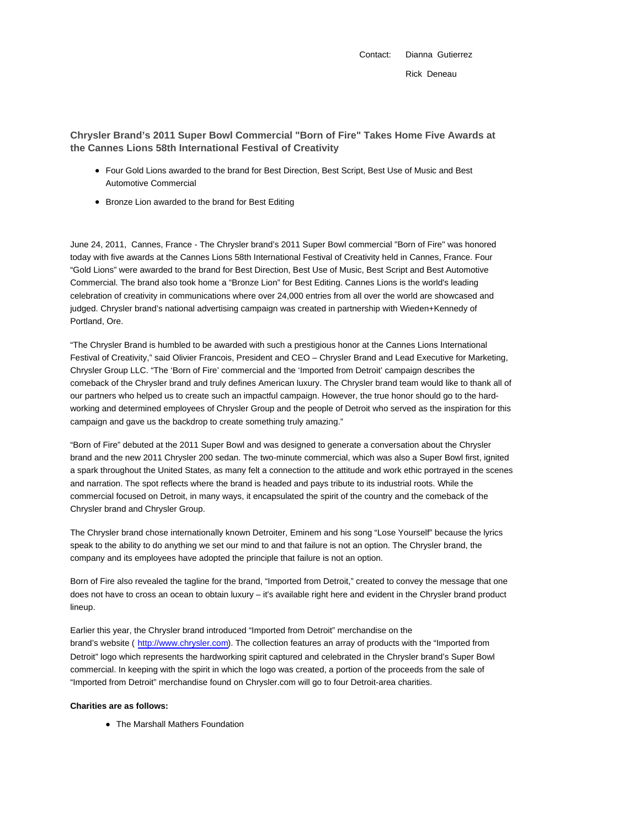Contact: Dianna Gutierrez Rick Deneau

**Chrysler Brand's 2011 Super Bowl Commercial "Born of Fire" Takes Home Five Awards at the Cannes Lions 58th International Festival of Creativity**

- Four Gold Lions awarded to the brand for Best Direction, Best Script, Best Use of Music and Best Automotive Commercial
- Bronze Lion awarded to the brand for Best Editing

June 24, 2011, Cannes, France - The Chrysler brand's 2011 Super Bowl commercial "Born of Fire" was honored today with five awards at the Cannes Lions 58th International Festival of Creativity held in Cannes, France. Four "Gold Lions" were awarded to the brand for Best Direction, Best Use of Music, Best Script and Best Automotive Commercial. The brand also took home a "Bronze Lion" for Best Editing. Cannes Lions is the world's leading celebration of creativity in communications where over 24,000 entries from all over the world are showcased and judged. Chrysler brand's national advertising campaign was created in partnership with Wieden+Kennedy of Portland, Ore.

"The Chrysler Brand is humbled to be awarded with such a prestigious honor at the Cannes Lions International Festival of Creativity," said Olivier Francois, President and CEO – Chrysler Brand and Lead Executive for Marketing, Chrysler Group LLC. "The 'Born of Fire' commercial and the 'Imported from Detroit' campaign describes the comeback of the Chrysler brand and truly defines American luxury. The Chrysler brand team would like to thank all of our partners who helped us to create such an impactful campaign. However, the true honor should go to the hardworking and determined employees of Chrysler Group and the people of Detroit who served as the inspiration for this campaign and gave us the backdrop to create something truly amazing."

"Born of Fire" debuted at the 2011 Super Bowl and was designed to generate a conversation about the Chrysler brand and the new 2011 Chrysler 200 sedan. The two-minute commercial, which was also a Super Bowl first, ignited a spark throughout the United States, as many felt a connection to the attitude and work ethic portrayed in the scenes and narration. The spot reflects where the brand is headed and pays tribute to its industrial roots. While the commercial focused on Detroit, in many ways, it encapsulated the spirit of the country and the comeback of the Chrysler brand and Chrysler Group.

The Chrysler brand chose internationally known Detroiter, Eminem and his song "Lose Yourself" because the lyrics speak to the ability to do anything we set our mind to and that failure is not an option. The Chrysler brand, the company and its employees have adopted the principle that failure is not an option.

Born of Fire also revealed the tagline for the brand, "Imported from Detroit," created to convey the message that one does not have to cross an ocean to obtain luxury – it's available right here and evident in the Chrysler brand product lineup.

Earlier this year, the Chrysler brand introduced "Imported from Detroit" merchandise on the brand's website ( http://www.chrysler.com). The collection features an array of products with the "Imported from Detroit" logo which represents the hardworking spirit captured and celebrated in the Chrysler brand's Super Bowl commercial. In keeping with the spirit in which the logo was created, a portion of the proceeds from the sale of "Imported from Detroit" merchandise found on Chrysler.com will go to four Detroit-area charities.

## **Charities are as follows:**

• The Marshall Mathers Foundation